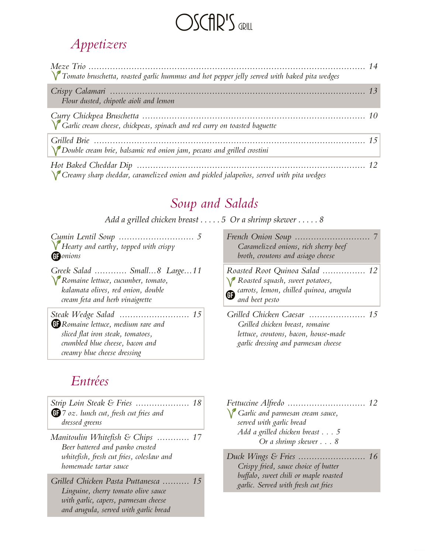# OSCAR'S GRILL

### *Appetizers*

| $\sqrt{\ }$ Tomato bruschetta, roasted garlic hummus and hot pepper jelly served with baked pita wedges |  |
|---------------------------------------------------------------------------------------------------------|--|
| Flour dusted, chipotle aioli and lemon                                                                  |  |
|                                                                                                         |  |
| $\sum$ Double cream brie, balsamic red onion jam, pecans and grilled crostini                           |  |
| $\sqrt{\ }$ Creamy sharp cheddar, caramelized onion and pickled jalapeños, served with pita wedges      |  |

*Soup and Salads*

*Add a grilled chicken breast . . . . . 5 Or a shrimp skewer . . . . . 8*

*Cumin Lentil Soup ............................ 5 French Onion Soup Hearty and earthy, topped with crispy onions*

*Greek Salad ............ Small...8 Large...11 Roasted Root Quinoa Salad Romaine lettuce, cucumber, tomato,*

*kalamata olives, red onion, double cream feta and herb vinaigrette*

*Steak Wedge Salad .......................... 15 Grilled Chicken Caesar Romaine lettuce, medium rare and sliced flat iron steak, tomatoes, crumbled blue cheese, bacon and creamy blue cheese dressing*

#### *Entrées*

|                                                | Fettuccine Alfredo |
|------------------------------------------------|--------------------|
| <b>63</b> 7 oz. lunch cut, fresh cut fries and | Garlic and parn    |
| dressed greens                                 | served with garl   |
| Manitoulin Whitefish & Chips  17               | Add a grilled ch   |
| Beer battered and panko crusted                | Or a shi           |
| whitefish, fresh cut fries, coleslaw and       | Duck Wings & F     |
| homemade tartar sauce                          | Crispy fried, sa   |
| Grilled Chicken Pasta Puttanesca  15           | buffalo, sweet cl  |
| Linguine cheven tomato olive cauce             | garlic. Served w   |

*Linguine, cherry tomato olive sauce with garlic, capers, parmesan cheese and arugula, served with garlic bread*

| Caramelized onions, rich sherry beef<br>broth, croutons and asiago cheese                                                                       |  |
|-------------------------------------------------------------------------------------------------------------------------------------------------|--|
| Roasted Root Quinoa Salad  12<br><i>Y</i> Roasted squash, sweet potatoes,<br><b>G</b> carrots, lemon, chilled quinoa, arugula<br>and beet pesto |  |

*Grilled chicken breast, romaine lettuce, croutons, bacon, house-made garlic dressing and parmesan cheese ..................... 15*

| Carlic and parmesan cream sauce,       |  |
|----------------------------------------|--|
| served with garlic bread               |  |
| Add a grilled chicken breast $\dots$ 5 |  |
| Or a shrimp skewer $\ldots$ 8          |  |
|                                        |  |

| Crispy fried, sauce choice of butter  |  |
|---------------------------------------|--|
| buffalo, sweet chili or maple roasted |  |
| garlic. Served with fresh cut fries   |  |